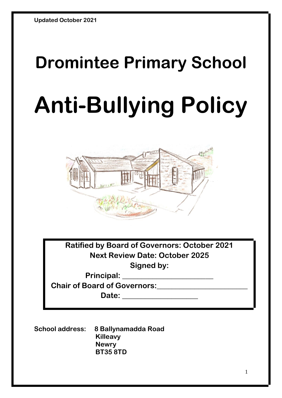# **Dromintee Primary School Anti-Bullying Policy**



**Ratified by Board of Governors: October 2021 Next Review Date: October 2025 Signed by:**

**Principal: \_\_\_\_\_\_\_\_\_\_\_\_\_\_\_\_\_\_\_\_\_\_\_\_ Chair of Board of Governors:\_\_\_\_\_\_\_\_\_\_\_\_\_\_\_\_\_\_\_\_\_\_\_\_**

**Date: \_\_\_\_\_\_\_\_\_\_\_\_\_\_\_\_\_\_\_\_**

**School address: 8 Ballynamadda Road Killeavy Newry BT35 8TD**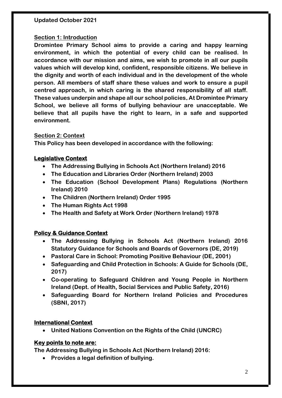#### **Section 1: Introduction**

**Dromintee Primary School aims to provide a caring and happy learning environment, in which the potential of every child can be realised. In accordance with our mission and aims, we wish to promote in all our pupils values which will develop kind, confident, responsible citizens. We believe in the dignity and worth of each individual and in the development of the whole person. All members of staff share these values and work to ensure a pupil centred approach, in which caring is the shared responsibility of all staff. These values underpin and shape all our school policies. At Dromintee Primary School, we believe all forms of bullying behaviour are unacceptable. We believe that all pupils have the right to learn, in a safe and supported environment.**

#### **Section 2: Context**

**This Policy has been developed in accordance with the following:**

#### **Legislative Context**

- **The Addressing Bullying in Schools Act (Northern Ireland) 2016**
- **The Education and Libraries Order (Northern Ireland) 2003**
- **The Education (School Development Plans) Regulations (Northern Ireland) 2010**
- **The Children (Northern Ireland) Order 1995**
- **The Human Rights Act 1998**
- **The Health and Safety at Work Order (Northern Ireland) 1978**

#### **Policy & Guidance Context**

- **The Addressing Bullying in Schools Act (Northern Ireland) 2016 Statutory Guidance for Schools and Boards of Governors (DE, 2019)**
- **Pastoral Care in School: Promoting Positive Behaviour (DE, 2001)**
- **Safeguarding and Child Protection in Schools: A Guide for Schools (DE, 2017)**
- **Co-operating to Safeguard Children and Young People in Northern Ireland (Dept. of Health, Social Services and Public Safety, 2016)**
- **Safeguarding Board for Northern Ireland Policies and Procedures (SBNI, 2017)**

#### **International Context**

• **United Nations Convention on the Rights of the Child (UNCRC)** 

#### **Key points to note are:**

**The Addressing Bullying in Schools Act (Northern Ireland) 2016:** 

• **Provides a legal definition of bullying.**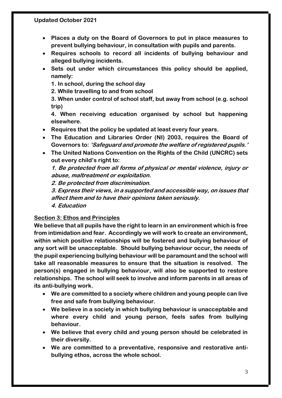- **Places a duty on the Board of Governors to put in place measures to prevent bullying behaviour, in consultation with pupils and parents.**
- **Requires schools to record all incidents of bullying behaviour and alleged bullying incidents.**
- **Sets out under which circumstances this policy should be applied, namely:**

**1. In school, during the school day** 

**2. While travelling to and from school** 

**3. When under control of school staff, but away from school (e.g. school trip)** 

**4. When receiving education organised by school but happening elsewhere.**

- **Requires that the policy be updated at least every four years.**
- **The Education and Libraries Order (NI) 2003, requires the Board of Governors to: 'Safeguard and promote the welfare of registered pupils.'**
- **The United Nations Convention on the Rights of the Child (UNCRC) sets out every child's right to:**

**1. Be protected from all forms of physical or mental violence, injury or abuse, maltreatment or exploitation.** 

**2. Be protected from discrimination.** 

**3. Express their views, in a supported and accessible way, on issues that affect them and to have their opinions taken seriously.** 

**4. Education**

#### **Section 3: Ethos and Principles**

**We believe that all pupils have the right to learn in an environment which is free from intimidation and fear. Accordingly we will work to create an environment, within which positive relationships will be fostered and bullying behaviour of any sort will be unacceptable. Should bullying behaviour occur, the needs of the pupil experiencing bullying behaviour will be paramount and the school will take all reasonable measures to ensure that the situation is resolved. The person(s) engaged in bullying behaviour, will also be supported to restore relationships. The school will seek to involve and inform parents in all areas of its anti-bullying work.**

- **We are committed to a society where children and young people can live free and safe from bullying behaviour.**
- **We believe in a society in which bullying behaviour is unacceptable and where every child and young person, feels safes from bullying behaviour.**
- **We believe that every child and young person should be celebrated in their diversity.**
- **We are committed to a preventative, responsive and restorative antibullying ethos, across the whole school.**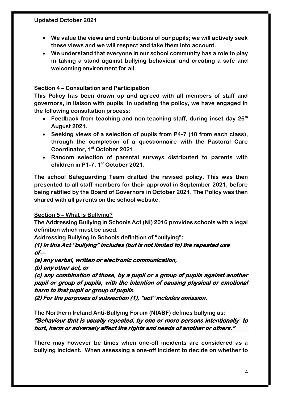- **We value the views and contributions of our pupils; we will actively seek these views and we will respect and take them into account.**
- **We understand that everyone in our school community has a role to play in taking a stand against bullying behaviour and creating a safe and welcoming environment for all.**

#### **Section 4 – Consultation and Participation**

**This Policy has been drawn up and agreed with all members of staff and governors, in liaison with pupils. In updating the policy, we have engaged in the following consultation process:**

- **Feedback from teaching and non-teaching staff, during inset day 26th August 2021.**
- **Seeking views of a selection of pupils from P4-7 (10 from each class), through the completion of a questionnaire with the Pastoral Care Coordinator, 1st October 2021.**
- **Random selection of parental surveys distributed to parents with children in P1-7, 1st October 2021.**

**The school Safeguarding Team drafted the revised policy. This was then presented to all staff members for their approval in September 2021, before being ratified by the Board of Governors in October 2021. The Policy was then shared with all parents on the school website.**

#### **Section 5 – What is Bullying?**

**The Addressing Bullying in Schools Act (NI) 2016 provides schools with a legal definition which must be used.**

**Addressing Bullying in Schools definition of "bullying":**

**(1) In this Act "bullying" includes (but is not limited to) the repeated use**   $of$ 

**(a) any verbal, written or electronic communication,** 

**(b) any other act, or** 

**(c) any combination of those, by a pupil or a group of pupils against another pupil or group of pupils, with the intention of causing physical or emotional harm to that pupil or group of pupils.** 

**(2) For the purposes of subsection (1), "act" includes omission.** 

**The Northern Ireland Anti-Bullying Forum (NIABF) defines bullying as: "Behaviour that is usually repeated, by one or more persons intentionally to hurt, harm or adversely affect the rights and needs of another or others."**

**There may however be times when one-off incidents are considered as a bullying incident. When assessing a one-off incident to decide on whether to**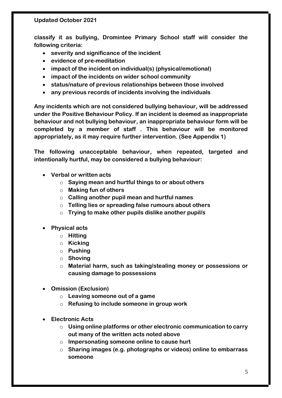**classify it as bullying, Dromintee Primary School staff will consider the following criteria:**

- **severity and significance of the incident**
- **evidence of pre-meditation**
- **impact of the incident on individual(s) (physical/emotional)**
- **impact of the incidents on wider school community**
- **status/nature of previous relationships between those involved**
- **any previous records of incidents involving the individuals**

**Any incidents which are not considered bullying behaviour, will be addressed under the Positive Behaviour Policy. If an incident is deemed as inappropriate behaviour and not bullying behaviour, an inappropriate behaviour form will be completed by a member of staff . This behaviour will be monitored appropriately, as it may require further intervention. (See Appendix 1)**

**The following unacceptable behaviour, when repeated, targeted and intentionally hurtful, may be considered a bullying behaviour:**

- **Verbal or written acts**
	- o **Saying mean and hurtful things to or about others**
	- o **Making fun of others**
	- o **Calling another pupil mean and hurtful names**
	- o **Telling lies or spreading false rumours about others**
	- o **Trying to make other pupils dislike another pupil/s**
- **Physical acts**
	- o **Hitting**
	- o **Kicking**
	- o **Pushing**
	- o **Shoving**
	- o **Material harm, such as taking/stealing money or possessions or causing damage to possessions**
- **Omission (Exclusion)**
	- o **Leaving someone out of a game**
	- o **Refusing to include someone in group work**
- **Electronic Acts**
	- o **Using online platforms or other electronic communication to carry out many of the written acts noted above**
	- o **Impersonating someone online to cause hurt**
	- o **Sharing images (e.g. photographs or videos) online to embarrass someone**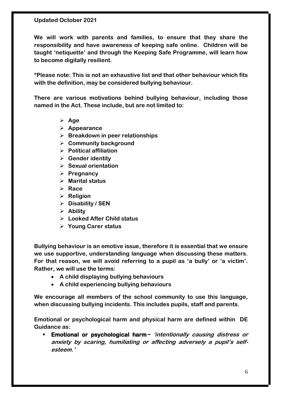**We will work with parents and families, to ensure that they share the responsibility and have awareness of keeping safe online. Children will be taught 'netiquette' and through the Keeping Safe Programme, will learn how to become digitally resilient.**

**\*Please note: This is not an exhaustive list and that other behaviour which fits with the definition, may be considered bullying behaviour.**

**There are various motivations behind bullying behaviour, including those named in the Act. These include, but are not limited to:**

- ➢ **Age**
- ➢ **Appearance**
- ➢ **Breakdown in peer relationships**
- ➢ **Community background**
- ➢ **Political affiliation**
- ➢ **Gender identity**
- ➢ **Sexual orientation**
- ➢ **Pregnancy**
- ➢ **Marital status**
- ➢ **Race**
- ➢ **Religion**
- ➢ **Disability / SEN**
- ➢ **Ability**
- ➢ **Looked After Child status**
- ➢ **Young Carer status**

**Bullying behaviour is an emotive issue, therefore it is essential that we ensure we use supportive, understanding language when discussing these matters. For that reason, we will avoid referring to a pupil as 'a bully' or 'a victim'. Rather, we will use the terms:**

- **A child displaying bullying behaviours**
- **A child experiencing bullying behaviours**

**We encourage all members of the school community to use this language, when discussing bullying incidents. This includes pupils, staff and parents.**

**Emotional or psychological harm and physical harm are defined within DE Guidance as:**

**Emotional or psychological harm**  $\sim$  'intentionally causing distress or **anxiety by scaring, humiliating or affecting adversely a pupil's selfesteem.'**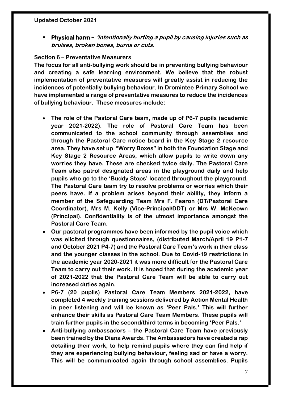▪ **Physical harm~ 'intentionally hurting a pupil by causing injuries such as bruises, broken bones, burns or cuts.**

#### **Section 6 – Preventative Measurers**

**The focus for all anti-bullying work should be in preventing bullying behaviour and creating a safe learning environment. We believe that the robust implementation of preventative measures will greatly assist in reducing the incidences of potentially bullying behaviour. In Dromintee Primary School we have implemented a range of preventative measures to reduce the incidences of bullying behaviour. These measures include:**

- **The role of the Pastoral Care team, made up of P6-7 pupils (academic year 2021-2022). The role of Pastoral Care Team has been communicated to the school community through assemblies and through the Pastoral Care notice board in the Key Stage 2 resource area. They have set up "Worry Boxes" in both the Foundation Stage and Key Stage 2 Resource Areas, which allow pupils to write down any worries they have. These are checked twice daily. The Pastoral Care Team also patrol designated areas in the playground daily and help pupils who go to the 'Buddy Stops' located throughout the playground. The Pastoral Care team try to resolve problems or worries which their peers have. If a problem arises beyond their ability, they inform a member of the Safeguarding Team Mrs F. Fearon (DT/Pastoral Care Coordinator), Mrs M. Kelly (Vice-Principal/DDT) or Mrs W. McKeown (Principal). Confidentiality is of the utmost importance amongst the Pastoral Care Team.**
- **Our pastoral programmes have been informed by the pupil voice which was elicited through questionnaires, (distributed March/April 19 P1-7 and October 2021 P4-7) and the Pastoral Care Team's work in their class and the younger classes in the school. Due to Covid-19 restrictions in the academic year 2020-2021 it was more difficult for the Pastoral Care Team to carry out their work. It is hoped that during the academic year of 2021-2022 that the Pastoral Care Team will be able to carry out increased duties again.**
- **P6-7 (20 pupils) Pastoral Care Team Members 2021-2022, have completed 4 weekly training sessions delivered by Action Mental Health in peer listening and will be known as 'Peer Pals.' This will further enhance their skills as Pastoral Care Team Members. These pupils will train further pupils in the second/third terms in becoming 'Peer Pals.'**
- **Anti-bullying ambassadors – the Pastoral Care Team have previously been trained by the Diana Awards. The Ambassadors have created a rap detailing their work, to help remind pupils where they can find help if they are experiencing bullying behaviour, feeling sad or have a worry. This will be communicated again through school assemblies. Pupils**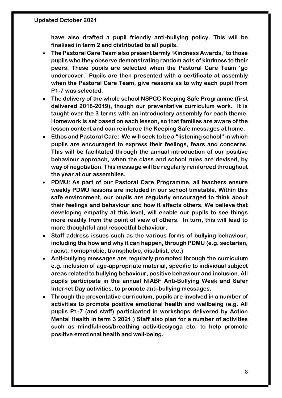**have also drafted a pupil friendly anti-bullying policy. This will be finalised in term 2 and distributed to all pupils.**

- **The Pastoral Care Team also present termly 'Kindness Awards,' to those pupils who they observe demonstrating random acts of kindness to their peers. These pupils are selected when the Pastoral Care Team 'go undercover.' Pupils are then presented with a certificate at assembly when the Pastoral Care Team, give reasons as to why each pupil from P1-7 was selected.**
- **The delivery of the whole school NSPCC Keeping Safe Programme (first delivered 2018-2019), though our preventative curriculum work. It is taught over the 3 terms with an introductory assembly for each theme. Homework is set based on each lesson, so that families are aware of the lesson content and can reinforce the Keeping Safe messages at home.**
- **Ethos and Pastoral Care: We will seek to be a "listening school" in which pupils are encouraged to express their feelings, fears and concerns. This will be facilitated through the annual introduction of our positive behaviour approach, when the class and school rules are devised, by way of negotiation. This message will be regularly reinforced throughout the year at our assemblies.**
- **PDMU: As part of our Pastoral Care Programme, all teachers ensure weekly PDMU lessons are included in our school timetable. Within this safe environment, our pupils are regularly encouraged to think about their feelings and behaviour and how it affects others. We believe that developing empathy at this level, will enable our pupils to see things more readily from the point of view of others. In turn, this will lead to more thoughtful and respectful behaviour.**
- **Staff address issues such as the various forms of bullying behaviour, including the how and why it can happen, through PDMU (e.g. sectarian, racist, homophobic, transphobic, disablist, etc.)**
- **Anti-bullying messages are regularly promoted through the curriculum e.g. inclusion of age-appropriate material, specific to individual subject areas related to bullying behaviour, positive behaviour and inclusion. All pupils participate in the annual NIABF Anti-Bullying Week and Safer Internet Day activities, to promote anti-bullying messages.**
- **Through the preventative curriculum, pupils are involved in a number of activities to promote positive emotional health and wellbeing (e.g. All pupils P1-7 (and staff) participated in workshops delivered by Action Mental Health in term 3 2021.) Staff also plan for a number of activities such as mindfulness/breathing activities/yoga etc. to help promote positive emotional health and well-being.**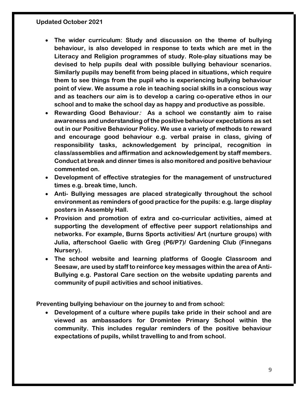- **The wider curriculum: Study and discussion on the theme of bullying behaviour, is also developed in response to texts which are met in the Literacy and Religion programmes of study. Role-play situations may be devised to help pupils deal with possible bullying behaviour scenarios. Similarly pupils may benefit from being placed in situations, which require them to see things from the pupil who is experiencing bullying behaviour point of view. We assume a role in teaching social skills in a conscious way and as teachers our aim is to develop a caring co-operative ethos in our school and to make the school day as happy and productive as possible.**
- **Rewarding Good Behaviour: As a school we constantly aim to raise awareness and understanding of the positive behaviour expectations as set out in our Positive Behaviour Policy. We use a variety of methods to reward and encourage good behaviour e.g. verbal praise in class, giving of responsibility tasks, acknowledgement by principal, recognition in class/assemblies and affirmation and acknowledgement by staff members. Conduct at break and dinner times is also monitored and positive behaviour commented on.**
- **Development of effective strategies for the management of unstructured times e.g. break time, lunch.**
- **Anti- Bullying messages are placed strategically throughout the school environment as reminders of good practice for the pupils: e.g. large display posters in Assembly Hall.**
- **Provision and promotion of extra and co-curricular activities, aimed at supporting the development of effective peer support relationships and networks. For example, Burns Sports activities/ Art (nurture groups) with Julia, afterschool Gaelic with Greg (P6/P7)/ Gardening Club (Finnegans Nursery).**
- **The school website and learning platforms of Google Classroom and Seesaw, are used by staff to reinforce key messages within the area of Anti-Bullying e.g. Pastoral Care section on the website updating parents and community of pupil activities and school initiatives.**

**Preventing bullying behaviour on the journey to and from school:**

• **Development of a culture where pupils take pride in their school and are viewed as ambassadors for Dromintee Primary School within the community. This includes regular reminders of the positive behaviour expectations of pupils, whilst travelling to and from school.**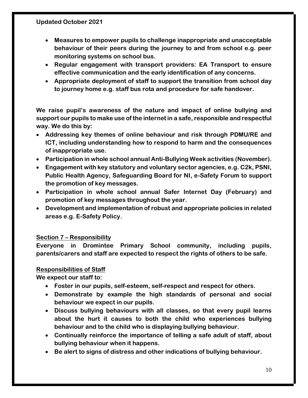- **Measures to empower pupils to challenge inappropriate and unacceptable behaviour of their peers during the journey to and from school e.g. peer monitoring systems on school bus.**
- **Regular engagement with transport providers: EA Transport to ensure effective communication and the early identification of any concerns.**
- **Appropriate deployment of staff to support the transition from school day to journey home e.g. staff bus rota and procedure for safe handover.**

**We raise pupil's awareness of the nature and impact of online bullying and support our pupils to make use of the internet in a safe, responsible and respectful way. We do this by:**

- **Addressing key themes of online behaviour and risk through PDMU/RE and ICT, including understanding how to respond to harm and the consequences of inappropriate use.**
- **Participation in whole school annual Anti-Bullying Week activities (November).**
- **Engagement with key statutory and voluntary sector agencies, e.g. C2k, PSNI, Public Health Agency, Safeguarding Board for NI, e-Safety Forum to support the promotion of key messages.**
- **Participation in whole school annual Safer Internet Day (February) and promotion of key messages throughout the year.**
- **Development and implementation of robust and appropriate policies in related areas e.g. E-Safety Policy.**

#### **Section 7 – Responsibility**

**Everyone in Dromintee Primary School community, including pupils, parents/carers and staff are expected to respect the rights of others to be safe.**

#### **Responsibilities of Staff**

**We expect our staff to:**

- **Foster in our pupils, self-esteem, self-respect and respect for others.**
- **Demonstrate by example the high standards of personal and social behaviour we expect in our pupils.**
- **Discuss bullying behaviours with all classes, so that every pupil learns about the hurt it causes to both the child who experiences bullying behaviour and to the child who is displaying bullying behaviour.**
- **Continually reinforce the importance of telling a safe adult of staff, about bullying behaviour when it happens.**
- **Be alert to signs of distress and other indications of bullying behaviour.**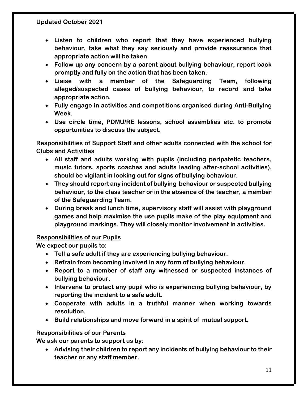- **Listen to children who report that they have experienced bullying behaviour, take what they say seriously and provide reassurance that appropriate action will be taken.**
- **Follow up any concern by a parent about bullying behaviour, report back promptly and fully on the action that has been taken.**
- **Liaise with a member of the Safeguarding Team, following alleged/suspected cases of bullying behaviour, to record and take appropriate action.**
- **Fully engage in activities and competitions organised during Anti-Bullying Week.**
- **Use circle time, PDMU/RE lessons, school assemblies etc. to promote opportunities to discuss the subject.**

#### **Responsibilities of Support Staff and other adults connected with the school for Clubs and Activities**

- **All staff and adults working with pupils (including peripatetic teachers, music tutors, sports coaches and adults leading after-school activities), should be vigilant in looking out for signs of bullying behaviour.**
- **They should report any incident of bullying behaviour or suspected bullying behaviour, to the class teacher or in the absence of the teacher, a member of the Safeguarding Team.**
- **During break and lunch time, supervisory staff will assist with playground games and help maximise the use pupils make of the play equipment and playground markings. They will closely monitor involvement in activities.**

#### **Responsibilities of our Pupils**

**We expect our pupils to:**

- **Tell a safe adult if they are experiencing bullying behaviour.**
- **Refrain from becoming involved in any form of bullying behaviour.**
- **Report to a member of staff any witnessed or suspected instances of bullying behaviour.**
- **Intervene to protect any pupil who is experiencing bullying behaviour, by reporting the incident to a safe adult.**
- **Cooperate with adults in a truthful manner when working towards resolution.**
- **Build relationships and move forward in a spirit of mutual support.**

#### **Responsibilities of our Parents**

**We ask our parents to support us by:**

• **Advising their children to report any incidents of bullying behaviour to their teacher or any staff member.**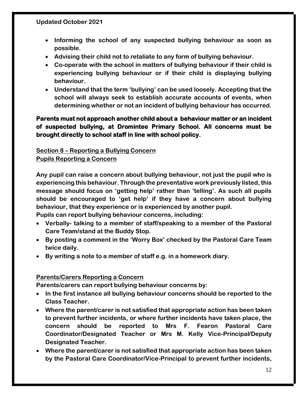- **Informing the school of any suspected bullying behaviour as soon as possible.**
- **Advising their child not to retaliate to any form of bullying behaviour.**
- **Co-operate with the school in matters of bullying behaviour if their child is experiencing bullying behaviour or if their child is displaying bullying behaviour.**
- **Understand that the term 'bullying' can be used loosely. Accepting that the school will always seek to establish accurate accounts of events, when determining whether or not an incident of bullying behaviour has occurred.**

#### **Parents must not approach another child about a behaviour matter or an incident of suspected bullying, at Dromintee Primary School. All concerns must be brought directly to school staff in line with school policy.**

#### **Section 8 – Reporting a Bullying Concern**

#### **Pupils Reporting a Concern**

**Any pupil can raise a concern about bullying behaviour, not just the pupil who is experiencing this behaviour. Through the preventative work previously listed, this message should focus on 'getting help' rather than 'telling'. As such all pupils should be encouraged to 'get help' if they have a concern about bullying behaviour, that they experience or is experienced by another pupil.**

**Pupils can report bullying behaviour concerns, including:**

- **Verbally- talking to a member of staff/speaking to a member of the Pastoral Care Team/stand at the Buddy Stop.**
- **By posting a comment in the 'Worry Box' checked by the Pastoral Care Team twice daily.**
- **By writing a note to a member of staff e.g. in a homework diary.**

#### **Parents/Carers Reporting a Concern**

**Parents/carers can report bullying behaviour concerns by:**

- **In the first instance all bullying behaviour concerns should be reported to the Class Teacher.**
- **Where the parent/carer is not satisfied that appropriate action has been taken to prevent further incidents, or where further incidents have taken place, the concern should be reported to Mrs F. Fearon Pastoral Care Coordinator/Designated Teacher or Mrs M. Kelly Vice-Principal/Deputy Designated Teacher.**
- **Where the parent/carer is not satisfied that appropriate action has been taken by the Pastoral Care Coordinator/Vice-Principal to prevent further incidents,**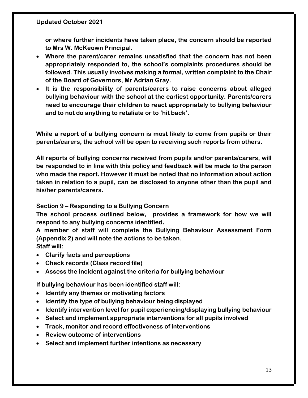**or where further incidents have taken place, the concern should be reported to Mrs W. McKeown Principal.**

- **Where the parent/carer remains unsatisfied that the concern has not been appropriately responded to, the school's complaints procedures should be followed. This usually involves making a formal, written complaint to the Chair of the Board of Governors, Mr Adrian Gray.**
- **It is the responsibility of parents/carers to raise concerns about alleged bullying behaviour with the school at the earliest opportunity. Parents/carers need to encourage their children to react appropriately to bullying behaviour and to not do anything to retaliate or to 'hit back'.**

**While a report of a bullying concern is most likely to come from pupils or their parents/carers, the school will be open to receiving such reports from others.**

**All reports of bullying concerns received from pupils and/or parents/carers, will be responded to in line with this policy and feedback will be made to the person who made the report. However it must be noted that no information about action taken in relation to a pupil, can be disclosed to anyone other than the pupil and his/her parents/carers.** 

#### **Section 9 – Responding to a Bullying Concern**

**The school process outlined below, provides a framework for how we will respond to any bullying concerns identified.**

**A member of staff will complete the Bullying Behaviour Assessment Form (Appendix 2) and will note the actions to be taken.** 

**Staff will:**

- **Clarify facts and perceptions**
- **Check records (Class record file)**
- **Assess the incident against the criteria for bullying behaviour**

**If bullying behaviour has been identified staff will:**

- **Identify any themes or motivating factors**
- **Identify the type of bullying behaviour being displayed**
- **Identify intervention level for pupil experiencing/displaying bullying behaviour**
- **Select and implement appropriate interventions for all pupils involved**
- **Track, monitor and record effectiveness of interventions**
- **Review outcome of interventions**
- **Select and implement further intentions as necessary**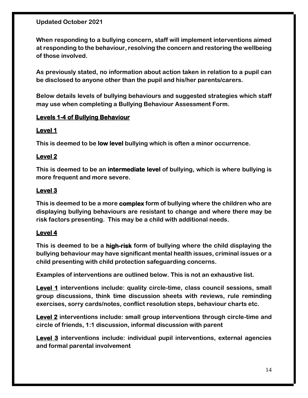**When responding to a bullying concern, staff will implement interventions aimed at responding to the behaviour, resolving the concern and restoring the wellbeing of those involved.** 

**As previously stated, no information about action taken in relation to a pupil can be disclosed to anyone other than the pupil and his/her parents/carers.**

**Below details levels of bullying behaviours and suggested strategies which staff may use when completing a Bullying Behaviour Assessment Form.**

#### **Levels 1-4 of Bullying Behaviour**

#### **Level 1**

**This is deemed to be low level bullying which is often a minor occurrence.**

#### **Level 2**

**This is deemed to be an intermediate level of bullying, which is where bullying is more frequent and more severe.**

#### **Level 3**

**This is deemed to be a more complex form of bullying where the children who are displaying bullying behaviours are resistant to change and where there may be risk factors presenting. This may be a child with additional needs.**

#### **Level 4**

**This is deemed to be a high-risk form of bullying where the child displaying the bullying behaviour may have significant mental health issues, criminal issues or a child presenting with child protection safeguarding concerns.**

**Examples of interventions are outlined below. This is not an exhaustive list.**

**Level 1 interventions include: quality circle-time, class council sessions, small group discussions, think time discussion sheets with reviews, rule reminding exercises, sorry cards/notes, conflict resolution steps, behaviour charts etc.** 

**Level 2 interventions include: small group interventions through circle-time and circle of friends, 1:1 discussion, informal discussion with parent**

**Level 3 interventions include: individual pupil interventions, external agencies and formal parental involvement**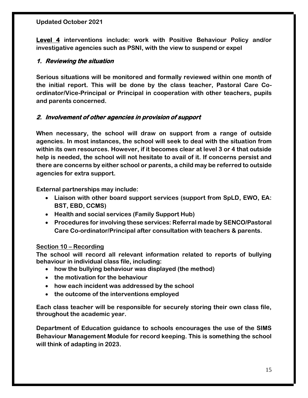**Level 4 interventions include: work with Positive Behaviour Policy and/or investigative agencies such as PSNI, with the view to suspend or expel**

#### **1. Reviewing the situation**

**Serious situations will be monitored and formally reviewed within one month of the initial report. This will be done by the class teacher, Pastoral Care Coordinator/Vice-Principal or Principal in cooperation with other teachers, pupils and parents concerned.**

#### **2. Involvement of other agencies in provision of support**

**When necessary, the school will draw on support from a range of outside agencies. In most instances, the school will seek to deal with the situation from within its own resources. However, if it becomes clear at level 3 or 4 that outside help is needed, the school will not hesitate to avail of it. If concerns persist and there are concerns by either school or parents, a child may be referred to outside agencies for extra support.**

**External partnerships may include:**

- **Liaison with other board support services (support from SpLD, EWO, EA: BST, EBD, CCMS)**
- **Health and social services (Family Support Hub)**
- **Procedures for involving these services: Referral made by SENCO/Pastoral Care Co-ordinator/Principal after consultation with teachers & parents.**

#### **Section 10 – Recording**

**The school will record all relevant information related to reports of bullying behaviour in individual class file, including:**

- **how the bullying behaviour was displayed (the method)**
- **the motivation for the behaviour**
- **how each incident was addressed by the school**
- **the outcome of the interventions employed**

**Each class teacher will be responsible for securely storing their own class file, throughout the academic year.** 

**Department of Education guidance to schools encourages the use of the SIMS Behaviour Management Module for record keeping. This is something the school will think of adapting in 2023.**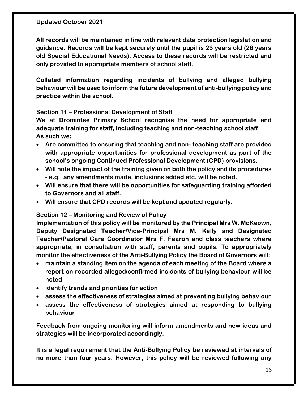**All records will be maintained in line with relevant data protection legislation and guidance. Records will be kept securely until the pupil is 23 years old (26 years old Special Educational Needs). Access to these records will be restricted and only provided to appropriate members of school staff.** 

**Collated information regarding incidents of bullying and alleged bullying behaviour will be used to inform the future development of anti-bullying policy and practice within the school.** 

#### **Section 11 – Professional Development of Staff**

**We at Dromintee Primary School recognise the need for appropriate and adequate training for staff, including teaching and non-teaching school staff. As such we:**

- **Are committed to ensuring that teaching and non- teaching staff are provided with appropriate opportunities for professional development as part of the school's ongoing Continued Professional Development (CPD) provisions.**
- **Will note the impact of the training given on both the policy and its procedures - e.g., any amendments made, inclusions added etc. will be noted.**
- **Will ensure that there will be opportunities for safeguarding training afforded to Governors and all staff.**
- **Will ensure that CPD records will be kept and updated regularly.**

#### **Section 12 – Monitoring and Review of Policy**

**Implementation of this policy will be monitored by the Principal Mrs W. McKeown, Deputy Designated Teacher/Vice-Principal Mrs M. Kelly and Designated Teacher/Pastoral Care Coordinator Mrs F. Fearon and class teachers where appropriate, in consultation with staff, parents and pupils. To appropriately monitor the effectiveness of the Anti-Bullying Policy the Board of Governors will:**

- **maintain a standing item on the agenda of each meeting of the Board where a report on recorded alleged/confirmed incidents of bullying behaviour will be noted**
- **identify trends and priorities for action**
- **assess the effectiveness of strategies aimed at preventing bullying behaviour**
- **assess the effectiveness of strategies aimed at responding to bullying behaviour**

**Feedback from ongoing monitoring will inform amendments and new ideas and strategies will be incorporated accordingly.**

**It is a legal requirement that the Anti-Bullying Policy be reviewed at intervals of no more than four years. However, this policy will be reviewed following any**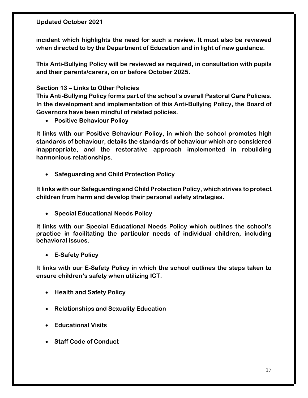**incident which highlights the need for such a review. It must also be reviewed when directed to by the Department of Education and in light of new guidance.** 

**This Anti-Bullying Policy will be reviewed as required, in consultation with pupils and their parents/carers, on or before October 2025.**

#### **Section 13 – Links to Other Policies**

**This Anti-Bullying Policy forms part of the school's overall Pastoral Care Policies. In the development and implementation of this Anti-Bullying Policy, the Board of Governors have been mindful of related policies.** 

• **Positive Behaviour Policy**

**It links with our Positive Behaviour Policy, in which the school promotes high standards of behaviour, details the standards of behaviour which are considered inappropriate, and the restorative approach implemented in rebuilding harmonious relationships.**

• **Safeguarding and Child Protection Policy**

**It links with our Safeguarding and Child Protection Policy, which strives to protect children from harm and develop their personal safety strategies.**

• **Special Educational Needs Policy**

**It links with our Special Educational Needs Policy which outlines the school's practice in facilitating the particular needs of individual children, including behavioral issues.**

• **E-Safety Policy** 

**It links with our E-Safety Policy in which the school outlines the steps taken to ensure children's safety when utilizing ICT.**

- **Health and Safety Policy**
- **Relationships and Sexuality Education**
- **Educational Visits**
- **Staff Code of Conduct**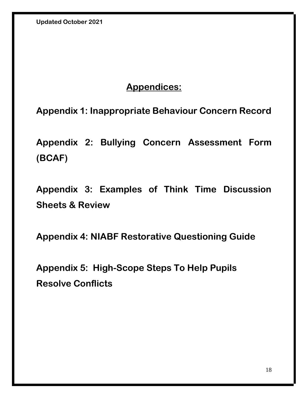## **Appendices:**

**Appendix 1: Inappropriate Behaviour Concern Record**

**Appendix 2: Bullying Concern Assessment Form (BCAF)**

**Appendix 3: Examples of Think Time Discussion Sheets & Review** 

**Appendix 4: NIABF Restorative Questioning Guide**

**Appendix 5: High-Scope Steps To Help Pupils Resolve Conflicts**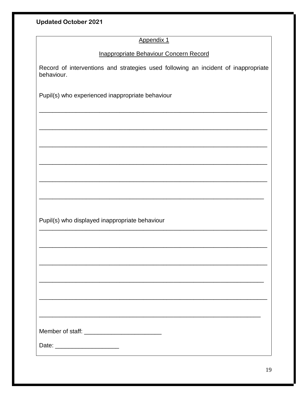#### Appendix 1

#### Inappropriate Behaviour Concern Record

Record of interventions and strategies used following an incident of inappropriate behaviour.

Pupil(s) who experienced inappropriate behaviour

Pupil(s) who displayed inappropriate behaviour

Date: \_\_\_\_\_\_\_\_\_\_\_\_\_\_\_\_\_\_\_\_\_\_\_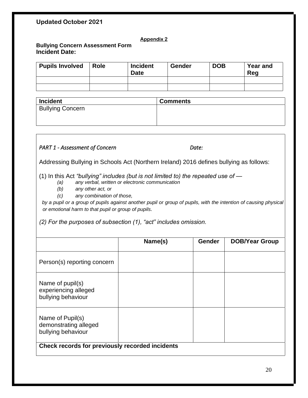#### **Appendix 2**

#### **Bullying Concern Assessment Form Incident Date:**

| <b>Pupils Involved</b> | <b>Role</b> | <b>Incident</b><br><b>Date</b> | Gender | <b>DOB</b> | <b>Year and</b><br>Reg |
|------------------------|-------------|--------------------------------|--------|------------|------------------------|
|                        |             |                                |        |            |                        |
|                        |             |                                |        |            |                        |

| <b>Incident</b>         | <b>Comments</b> |
|-------------------------|-----------------|
| <b>Bullying Concern</b> |                 |
|                         |                 |
|                         |                 |

#### *PART 1 - Assessment of Concern Date:*

Addressing Bullying in Schools Act (Northern Ireland) 2016 defines bullying as follows:

(1) In this Act *"bullying" includes (but is not limited to) the repeated use of —*

- *(a) any verbal, written or electronic communication*
- *(b) any other act, or*
- *(c) any combination of those,*

by a pupil or a group of pupils against another pupil or group of pupils, with the intention of causing physical *or emotional harm to that pupil or group of pupils.*

*(2) For the purposes of subsection (1), "act" includes omission.*

|                                                                 | Name(s) | <b>Gender</b> | <b>DOB/Year Group</b> |
|-----------------------------------------------------------------|---------|---------------|-----------------------|
| Person(s) reporting concern                                     |         |               |                       |
| Name of pupil(s)<br>experiencing alleged<br>bullying behaviour  |         |               |                       |
| Name of Pupil(s)<br>demonstrating alleged<br>bullying behaviour |         |               |                       |
| Check records for previously recorded incidents                 |         |               |                       |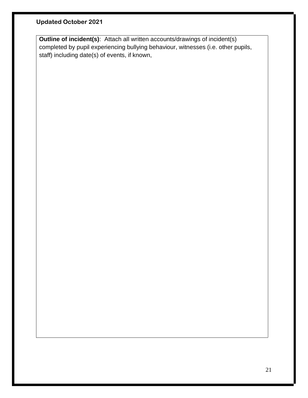**Outline of incident(s)**: Attach all written accounts/drawings of incident(s) completed by pupil experiencing bullying behaviour, witnesses (i.e. other pupils, staff) including date(s) of events, if known,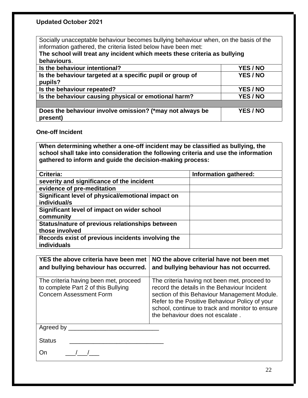Socially unacceptable behaviour becomes bullying behaviour when, on the basis of the information gathered, the criteria listed below have been met:

| The school will treat any incident which meets these criteria as bullying |          |  |  |  |
|---------------------------------------------------------------------------|----------|--|--|--|
| behaviours.                                                               |          |  |  |  |
| Is the behaviour intentional?                                             | YES/NO   |  |  |  |
| Is the behaviour targeted at a specific pupil or group of                 | YES/NO   |  |  |  |
| pupils?                                                                   |          |  |  |  |
| Is the behaviour repeated?                                                | YES/NO   |  |  |  |
| Is the behaviour causing physical or emotional harm?                      | YES/NO   |  |  |  |
|                                                                           |          |  |  |  |
| Does the behaviour involve omission? (*may not always be<br>present)      | YES / NO |  |  |  |

#### **One-off Incident**

**When determining whether a one-off incident may be classified as bullying, the school shall take into consideration the following criteria and use the information gathered to inform and guide the decision-making process:**

| Criteria:                                         | Information gathered: |
|---------------------------------------------------|-----------------------|
| severity and significance of the incident         |                       |
| evidence of pre-meditation                        |                       |
| Significant level of physical/emotional impact on |                       |
| individual/s                                      |                       |
| Significant level of impact on wider school       |                       |
| community                                         |                       |
| Status/nature of previous relationships between   |                       |
| those involved                                    |                       |
| Records exist of previous incidents involving the |                       |
| individuals                                       |                       |

| and bullying behaviour has occurred.                                                                           | YES the above criteria have been met $\vert$ NO the above criterial have not been met<br>and bullying behaviour has not occurred.                                                                                                                                                     |
|----------------------------------------------------------------------------------------------------------------|---------------------------------------------------------------------------------------------------------------------------------------------------------------------------------------------------------------------------------------------------------------------------------------|
| The criteria having been met, proceed<br>to complete Part 2 of this Bullying<br><b>Concern Assessment Form</b> | The criteria having not been met, proceed to<br>record the details in the Behaviour Incident<br>section of this Behaviour Management Module.<br>Refer to the Positive Behaviour Policy of your<br>school, continue to track and monitor to ensure<br>the behaviour does not escalate. |

Agreed by \_\_\_\_\_\_\_\_\_\_\_\_\_\_\_\_\_\_\_\_\_\_\_\_\_\_\_

Status **and the status**  $\sim$ 

On  $\frac{1}{\sqrt{2}}$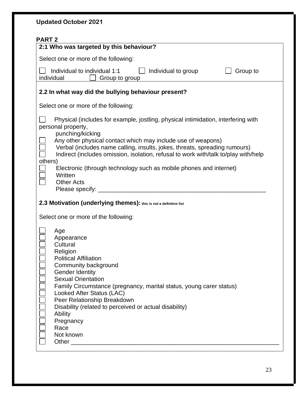| <b>Updated October 2021</b>                                                                                                                                                                                                                                                                                                                                                                                                                                                       |
|-----------------------------------------------------------------------------------------------------------------------------------------------------------------------------------------------------------------------------------------------------------------------------------------------------------------------------------------------------------------------------------------------------------------------------------------------------------------------------------|
| <b>PART 2</b><br>2:1 Who was targeted by this behaviour?                                                                                                                                                                                                                                                                                                                                                                                                                          |
| Select one or more of the following:                                                                                                                                                                                                                                                                                                                                                                                                                                              |
| Individual to individual 1:1<br>Individual to group<br>Group to<br>individual<br>Group to group                                                                                                                                                                                                                                                                                                                                                                                   |
| 2.2 In what way did the bullying behaviour present?                                                                                                                                                                                                                                                                                                                                                                                                                               |
| Select one or more of the following:                                                                                                                                                                                                                                                                                                                                                                                                                                              |
| Physical (includes for example, jostling, physical intimidation, interfering with<br>personal property,<br>punching/kicking<br>Any other physical contact which may include use of weapons)<br>Verbal (includes name calling, insults, jokes, threats, spreading rumours)<br>Indirect (includes omission, isolation, refusal to work with/talk to/play with/help<br>others)<br>Electronic (through technology such as mobile phones and internet)<br>Written<br><b>Other Acts</b> |
| 2.3 Motivation (underlying themes): this is not a definitive list<br>Select one or more of the following:                                                                                                                                                                                                                                                                                                                                                                         |
| Age<br>Appearance<br>Cultural<br>Religion<br><b>Political Affiliation</b><br>Community background<br><b>Gender Identity</b><br><b>Sexual Orientation</b><br>Family Circumstance (pregnancy, marital status, young carer status)<br>Looked After Status (LAC)<br>Peer Relationship Breakdown<br>Disability (related to perceived or actual disability)<br>Ability<br>Pregnancy<br>Race<br>Not known                                                                                |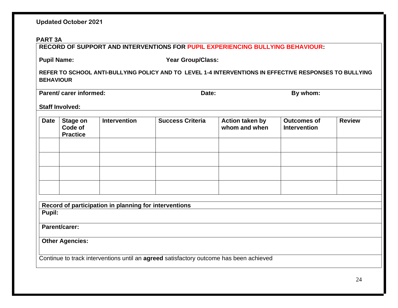#### **PART 3A**

**RECORD OF SUPPORT AND INTERVENTIONS FOR PUPIL EXPERIENCING BULLYING BEHAVIOUR:**

Pupil Name: Vear Group/Class:

**REFER TO SCHOOL ANTI-BULLYING POLICY AND TO LEVEL 1-4 INTERVENTIONS IN EFFECTIVE RESPONSES TO BULLYING BEHAVIOUR**

**Parent/ carer informed:** Date: By whom:

**Staff Involved:**

| <b>Date</b> | <b>Stage on</b><br>Code of<br><b>Practice</b> | <b>Intervention</b> | <b>Success Criteria</b> | Action taken by<br>whom and when | <b>Outcomes of</b><br>Intervention | <b>Review</b> |
|-------------|-----------------------------------------------|---------------------|-------------------------|----------------------------------|------------------------------------|---------------|
|             |                                               |                     |                         |                                  |                                    |               |
|             |                                               |                     |                         |                                  |                                    |               |
|             |                                               |                     |                         |                                  |                                    |               |
|             |                                               |                     |                         |                                  |                                    |               |

**Record of participation in planning for interventions Pupil:**

**Parent/carer:**

**Other Agencies:**

Continue to track interventions until an **agreed** satisfactory outcome has been achieved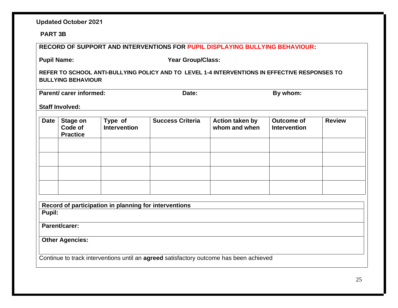#### **PART 3B**

| <b>RECORD OF SUPPORT AND INTERVENTIONS FOR PUPIL DISPLAYING BULLYING BEHAVIOUR:</b>                                        |                                        |                                |                         |                                         |                                          |               |
|----------------------------------------------------------------------------------------------------------------------------|----------------------------------------|--------------------------------|-------------------------|-----------------------------------------|------------------------------------------|---------------|
| <b>Pupil Name:</b><br><b>Year Group/Class:</b>                                                                             |                                        |                                |                         |                                         |                                          |               |
| REFER TO SCHOOL ANTI-BULLYING POLICY AND TO LEVEL 1-4 INTERVENTIONS IN EFFECTIVE RESPONSES TO<br><b>BULLYING BEHAVIOUR</b> |                                        |                                |                         |                                         |                                          |               |
|                                                                                                                            | Parent/ carer informed:                |                                | Date:                   |                                         | By whom:                                 |               |
|                                                                                                                            | <b>Staff Involved:</b>                 |                                |                         |                                         |                                          |               |
| <b>Date</b>                                                                                                                | Stage on<br>Code of<br><b>Practice</b> | Type of<br><b>Intervention</b> | <b>Success Criteria</b> | <b>Action taken by</b><br>whom and when | <b>Outcome of</b><br><b>Intervention</b> | <b>Review</b> |
|                                                                                                                            |                                        |                                |                         |                                         |                                          |               |
|                                                                                                                            |                                        |                                |                         |                                         |                                          |               |
| Record of participation in planning for interventions<br>Pupil:                                                            |                                        |                                |                         |                                         |                                          |               |
| Parent/carer:                                                                                                              |                                        |                                |                         |                                         |                                          |               |
| <b>Other Agencies:</b>                                                                                                     |                                        |                                |                         |                                         |                                          |               |
| Continue to track interventions until an agreed satisfactory outcome has been achieved                                     |                                        |                                |                         |                                         |                                          |               |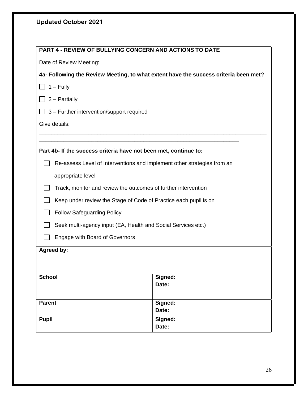| PART 4 - REVIEW OF BULLYING CONCERN AND ACTIONS TO DATE                              |         |  |  |  |
|--------------------------------------------------------------------------------------|---------|--|--|--|
| Date of Review Meeting:                                                              |         |  |  |  |
| 4a- Following the Review Meeting, to what extent have the success criteria been met? |         |  |  |  |
| $1 -$ Fully                                                                          |         |  |  |  |
| $2 -$ Partially                                                                      |         |  |  |  |
| 3 - Further intervention/support required                                            |         |  |  |  |
| Give details:                                                                        |         |  |  |  |
|                                                                                      |         |  |  |  |
| Part 4b- If the success criteria have not been met, continue to:                     |         |  |  |  |
| Re-assess Level of Interventions and implement other strategies from an              |         |  |  |  |
| appropriate level                                                                    |         |  |  |  |
| Track, monitor and review the outcomes of further intervention                       |         |  |  |  |
| Keep under review the Stage of Code of Practice each pupil is on                     |         |  |  |  |
| <b>Follow Safeguarding Policy</b>                                                    |         |  |  |  |
| Seek multi-agency input (EA, Health and Social Services etc.)                        |         |  |  |  |
| <b>Engage with Board of Governors</b>                                                |         |  |  |  |
| Agreed by:                                                                           |         |  |  |  |
|                                                                                      |         |  |  |  |
| Signed:<br><b>School</b>                                                             |         |  |  |  |
| Date:                                                                                |         |  |  |  |
| <b>Parent</b>                                                                        | Signed: |  |  |  |
|                                                                                      | Date:   |  |  |  |
| Signed:<br><b>Pupil</b><br>Date:                                                     |         |  |  |  |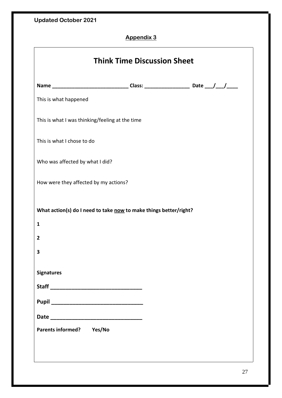## **Appendix 3**

| <b>Think Time Discussion Sheet</b>                                                                   |  |
|------------------------------------------------------------------------------------------------------|--|
| Name ___________________________________Class: ___________________________Date ____/____/___________ |  |
| This is what happened                                                                                |  |
| This is what I was thinking/feeling at the time                                                      |  |
| This is what I chose to do                                                                           |  |
| Who was affected by what I did?                                                                      |  |
| How were they affected by my actions?                                                                |  |
| What action(s) do I need to take now to make things better/right?                                    |  |
| $\mathbf{1}$                                                                                         |  |
| $\overline{2}$                                                                                       |  |
| 3                                                                                                    |  |
| <b>Signatures</b>                                                                                    |  |
|                                                                                                      |  |
|                                                                                                      |  |
|                                                                                                      |  |
| Parents informed? Yes/No                                                                             |  |
|                                                                                                      |  |
|                                                                                                      |  |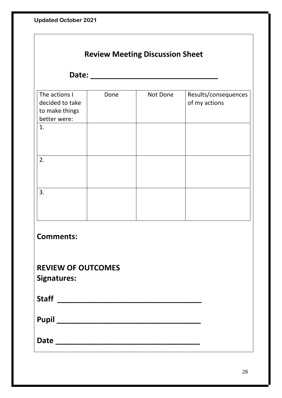| <b>Review Meeting Discussion Sheet</b>                                   |      |          |                                       |  |  |  |
|--------------------------------------------------------------------------|------|----------|---------------------------------------|--|--|--|
| Date:                                                                    |      |          |                                       |  |  |  |
| The actions I<br>decided to take<br>to make things<br>better were:<br>1. | Done | Not Done | Results/consequences<br>of my actions |  |  |  |
| 2.                                                                       |      |          |                                       |  |  |  |
| 3.                                                                       |      |          |                                       |  |  |  |
| <b>Comments:</b>                                                         |      |          |                                       |  |  |  |
| <b>REVIEW OF OUTCOMES</b><br><b>Signatures:</b>                          |      |          |                                       |  |  |  |
|                                                                          |      |          |                                       |  |  |  |
|                                                                          |      |          |                                       |  |  |  |
|                                                                          |      |          |                                       |  |  |  |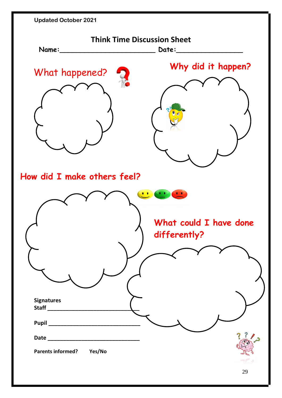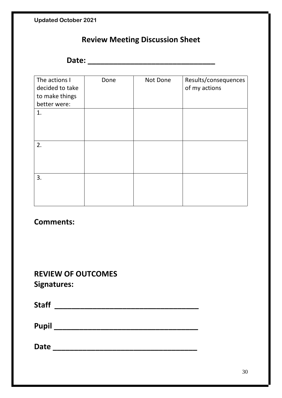## **Review Meeting Discussion Sheet**

**Date: \_\_\_\_\_\_\_\_\_\_\_\_\_\_\_\_\_\_\_\_\_\_\_\_\_\_\_\_\_\_**

| The actions I<br>decided to take<br>to make things<br>better were: | Done | Not Done | Results/consequences<br>of my actions |
|--------------------------------------------------------------------|------|----------|---------------------------------------|
| 1.                                                                 |      |          |                                       |
|                                                                    |      |          |                                       |
|                                                                    |      |          |                                       |
|                                                                    |      |          |                                       |
| 2.                                                                 |      |          |                                       |
|                                                                    |      |          |                                       |
|                                                                    |      |          |                                       |
| 3.                                                                 |      |          |                                       |
|                                                                    |      |          |                                       |
|                                                                    |      |          |                                       |
|                                                                    |      |          |                                       |

## **Comments:**

## **REVIEW OF OUTCOMES Signatures:**

| <b>Staff</b> |  |  |  |
|--------------|--|--|--|
| <b>Pupil</b> |  |  |  |
| <b>Date</b>  |  |  |  |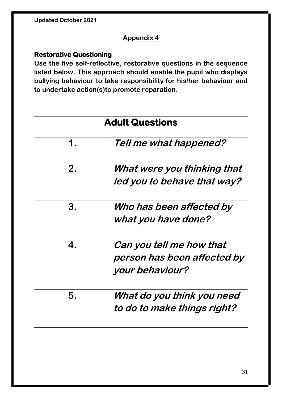### **Appendix 4**

#### **Restorative Questioning**

**Use the five self-reflective, restorative questions in the sequence listed below. This approach should enable the pupil who displays bullying behaviour to take responsibility for his/her behaviour and to undertake action(s)to promote reparation.**

| <b>Adult Questions</b> |                                                                            |  |
|------------------------|----------------------------------------------------------------------------|--|
| 1.                     | Tell me what happened?                                                     |  |
| 2.                     | What were you thinking that<br>led you to behave that way?                 |  |
| 3.                     | Who has been affected by<br>what you have done?                            |  |
| 4.                     | Can you tell me how that<br>person has been affected by<br>your behaviour? |  |
| 5.                     | What do you think you need<br>to do to make things right?                  |  |